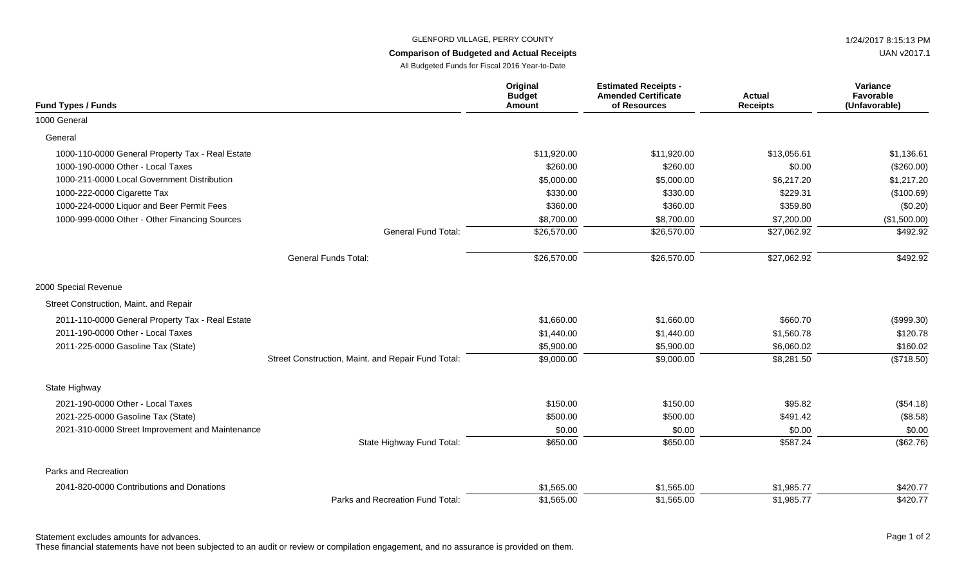## GLENFORD VILLAGE, PERRY COUNTY **1/24/2017 8:15:13 PM**

## **Comparison of Budgeted and Actual Receipts**

All Budgeted Funds for Fiscal 2016 Year-to-Date

| <b>Fund Types / Funds</b>                        |                                                    | Original<br><b>Budget</b><br>Amount | <b>Estimated Receipts -</b><br><b>Amended Certificate</b><br>of Resources | <b>Actual</b><br><b>Receipts</b> | Variance<br>Favorable<br>(Unfavorable) |
|--------------------------------------------------|----------------------------------------------------|-------------------------------------|---------------------------------------------------------------------------|----------------------------------|----------------------------------------|
| 1000 General                                     |                                                    |                                     |                                                                           |                                  |                                        |
| General                                          |                                                    |                                     |                                                                           |                                  |                                        |
| 1000-110-0000 General Property Tax - Real Estate |                                                    | \$11,920.00                         | \$11,920.00                                                               | \$13,056.61                      | \$1,136.61                             |
| 1000-190-0000 Other - Local Taxes                |                                                    | \$260.00                            | \$260.00                                                                  | \$0.00                           | (\$260.00)                             |
| 1000-211-0000 Local Government Distribution      |                                                    | \$5,000.00                          | \$5,000.00                                                                | \$6,217.20                       | \$1,217.20                             |
| 1000-222-0000 Cigarette Tax                      |                                                    | \$330.00                            | \$330.00                                                                  | \$229.31                         | (\$100.69)                             |
| 1000-224-0000 Liquor and Beer Permit Fees        |                                                    | \$360.00                            | \$360.00                                                                  | \$359.80                         | (\$0.20)                               |
| 1000-999-0000 Other - Other Financing Sources    |                                                    | \$8,700.00                          | \$8,700.00                                                                | \$7,200.00                       | (\$1,500.00)                           |
|                                                  | General Fund Total:                                | \$26,570.00                         | \$26,570.00                                                               | \$27,062.92                      | \$492.92                               |
|                                                  | <b>General Funds Total:</b>                        | \$26,570.00                         | \$26,570.00                                                               | \$27,062.92                      | \$492.92                               |
| 2000 Special Revenue                             |                                                    |                                     |                                                                           |                                  |                                        |
| Street Construction, Maint. and Repair           |                                                    |                                     |                                                                           |                                  |                                        |
| 2011-110-0000 General Property Tax - Real Estate |                                                    | \$1,660.00                          | \$1,660.00                                                                | \$660.70                         | (\$999.30)                             |
| 2011-190-0000 Other - Local Taxes                |                                                    | \$1,440.00                          | \$1,440.00                                                                | \$1,560.78                       | \$120.78                               |
| 2011-225-0000 Gasoline Tax (State)               |                                                    | \$5,900.00                          | \$5,900.00                                                                | \$6,060.02                       | \$160.02                               |
|                                                  | Street Construction, Maint. and Repair Fund Total: | \$9,000.00                          | \$9,000.00                                                                | \$8,281.50                       | (\$718.50)                             |
| State Highway                                    |                                                    |                                     |                                                                           |                                  |                                        |
| 2021-190-0000 Other - Local Taxes                |                                                    | \$150.00                            | \$150.00                                                                  | \$95.82                          | (\$54.18)                              |
| 2021-225-0000 Gasoline Tax (State)               |                                                    | \$500.00                            | \$500.00                                                                  | \$491.42                         | (\$8.58)                               |
| 2021-310-0000 Street Improvement and Maintenance |                                                    | \$0.00                              | \$0.00                                                                    | \$0.00                           | \$0.00                                 |
|                                                  | State Highway Fund Total:                          | \$650.00                            | \$650.00                                                                  | \$587.24                         | (\$62.76)                              |
| Parks and Recreation                             |                                                    |                                     |                                                                           |                                  |                                        |
| 2041-820-0000 Contributions and Donations        |                                                    | \$1,565.00                          | \$1,565.00                                                                | \$1,985.77                       | \$420.77                               |
|                                                  | Parks and Recreation Fund Total:                   | \$1,565.00                          | \$1,565.00                                                                | \$1,985.77                       | \$420.77                               |

Statement excludes amounts for advances. The state of 2 and 2 and 2 and 2 and 2 and 2 and 2 and 2 and 2 and 2 and 2 and 2 and 2 and 2 and 2 and 2 and 2 and 2 and 2 and 2 and 2 and 2 and 2 and 2 and 2 and 2 and 2 and 2 and

These financial statements have not been subjected to an audit or review or compilation engagement, and no assurance is provided on them.